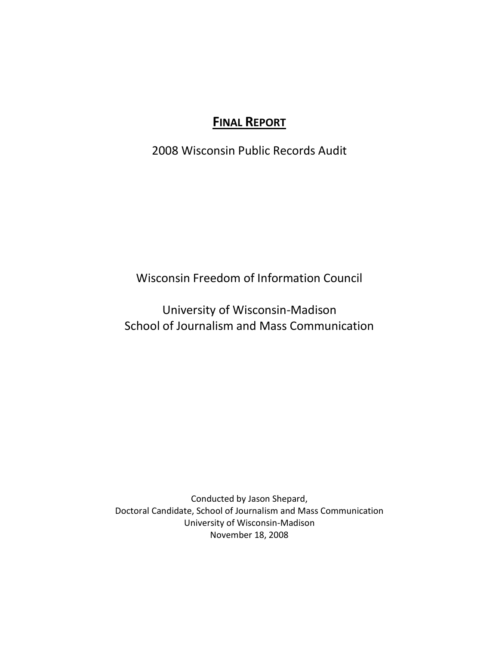# **FINAL REPORT**

2008 Wisconsin Public Records Audit

Wisconsin Freedom of Information Council

University of Wisconsin-Madison School of Journalism and Mass Communication

Conducted by Jason Shepard, Doctoral Candidate, School of Journalism and Mass Communication University of Wisconsin-Madison November 18, 2008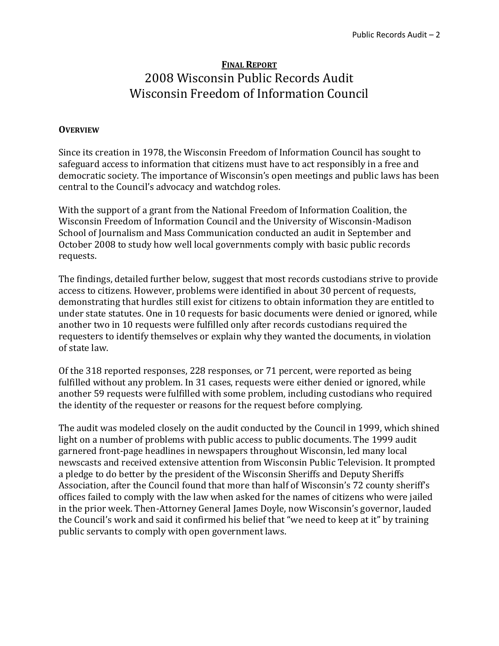## **FINAL REPORT** 2008 Wisconsin Public Records Audit Wisconsin Freedom of Information Council

#### **OVERVIEW**

Since its creation in 1978, the Wisconsin Freedom of Information Council has sought to safeguard access to information that citizens must have to act responsibly in a free and democratic society. The importance of Wisconsin's open meetings and public laws has been central to the Council's advocacy and watchdog roles.

With the support of a grant from the National Freedom of Information Coalition, the Wisconsin Freedom of Information Council and the University of Wisconsin-Madison School of Journalism and Mass Communication conducted an audit in September and October 2008 to study how well local governments comply with basic public records requests.

The findings, detailed further below, suggest that most records custodians strive to provide access to citizens. However, problems were identified in about 30 percent of requests, demonstrating that hurdles still exist for citizens to obtain information they are entitled to under state statutes. One in 10 requests for basic documents were denied or ignored, while another two in 10 requests were fulfilled only after records custodians required the requesters to identify themselves or explain why they wanted the documents, in violation of state law.

Of the 318 reported responses, 228 responses, or 71 percent, were reported as being fulfilled without any problem. In 31 cases, requests were either denied or ignored, while another 59 requests were fulfilled with some problem, including custodians who required the identity of the requester or reasons for the request before complying.

The audit was modeled closely on the audit conducted by the Council in 1999, which shined light on a number of problems with public access to public documents. The 1999 audit garnered front-page headlines in newspapers throughout Wisconsin, led many local newscasts and received extensive attention from Wisconsin Public Television. It prompted a pledge to do better by the president of the Wisconsin Sheriffs and Deputy Sheriffs Association, after the Council found that more than half of Wisconsin's 72 county sheriff's offices failed to comply with the law when asked for the names of citizens who were jailed in the prior week. Then-Attorney General James Doyle, now Wisconsin's governor, lauded the Council's work and said it confirmed his belief that "we need to keep at it" by training public servants to comply with open government laws.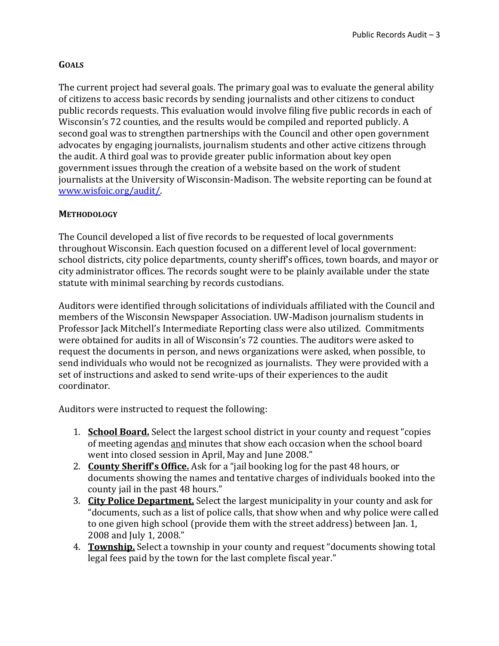## **GOALS**

The current project had several goals. The primary goal was to evaluate the general ability of citizens to access basic records by sending journalists and other citizens to conduct public records requests. This evaluation would involve filing five public records in each of Wisconsin's 72 counties, and the results would be compiled and reported publicly. A second goal was to strengthen partnerships with the Council and other open government advocates by engaging journalists, journalism students and other active citizens through the audit. A third goal was to provide greater public information about key open government issues through the creation of a website based on the work of student journalists at the University of Wisconsin-Madison. The website reporting can be found at [www.wisfoic.org/audit/.](http://www.wisfoic.org/audit/)

## **METHODOLOGY**

The Council developed a list of five records to be requested of local governments throughout Wisconsin. Each question focused on a different level of local government: school districts, city police departments, county sheriff's offices, town boards, and mayor or city administrator offices. The records sought were to be plainly available under the state statute with minimal searching by records custodians.

Auditors were identified through solicitations of individuals affiliated with the Council and members of the Wisconsin Newspaper Association. UW-Madison journalism students in Professor Jack Mitchell's Intermediate Reporting class were also utilized. Commitments were obtained for audits in all of Wisconsin's 72 counties. The auditors were asked to request the documents in person, and news organizations were asked, when possible, to send individuals who would not be recognized as journalists. They were provided with a set of instructions and asked to send write-ups of their experiences to the audit coordinator.

Auditors were instructed to request the following:

- 1. **School Board.** Select the largest school district in your county and request "copies of meeting agendas and minutes that show each occasion when the school board went into closed session in April, May and June 2008."
- 2. **County Sheriff's Office.** Ask for a "jail booking log for the past 48 hours, or documents showing the names and tentative charges of individuals booked into the county jail in the past 48 hours."
- 3. **City Police Department.** Select the largest municipality in your county and ask for "documents, such as a list of police calls, that show when and why police were called to one given high school (provide them with the street address) between Jan. 1, 2008 and July 1, 2008."
- 4. **Township.** Select a township in your county and request "documents showing total legal fees paid by the town for the last complete fiscal year."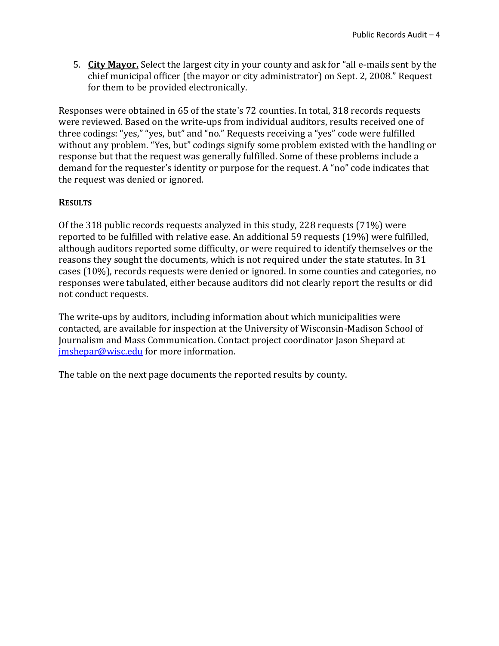5. **City Mayor.** Select the largest city in your county and ask for "all e-mails sent by the chief municipal officer (the mayor or city administrator) on Sept. 2, 2008." Request for them to be provided electronically.

Responses were obtained in 65 of the state's 72 counties. In total, 318 records requests were reviewed. Based on the write-ups from individual auditors, results received one of three codings: "yes," "yes, but" and "no." Requests receiving a "yes" code were fulfilled without any problem. "Yes, but" codings signify some problem existed with the handling or response but that the request was generally fulfilled. Some of these problems include a demand for the requester's identity or purpose for the request. A "no" code indicates that the request was denied or ignored.

#### **RESULTS**

Of the 318 public records requests analyzed in this study, 228 requests (71%) were reported to be fulfilled with relative ease. An additional 59 requests (19%) were fulfilled, although auditors reported some difficulty, or were required to identify themselves or the reasons they sought the documents, which is not required under the state statutes. In 31 cases (10%), records requests were denied or ignored. In some counties and categories, no responses were tabulated, either because auditors did not clearly report the results or did not conduct requests.

The write-ups by auditors, including information about which municipalities were contacted, are available for inspection at the University of Wisconsin-Madison School of Journalism and Mass Communication. Contact project coordinator Jason Shepard at [jmshepar@wisc.edu](mailto:jmshepar@wisc.edu) for more information.

The table on the next page documents the reported results by county.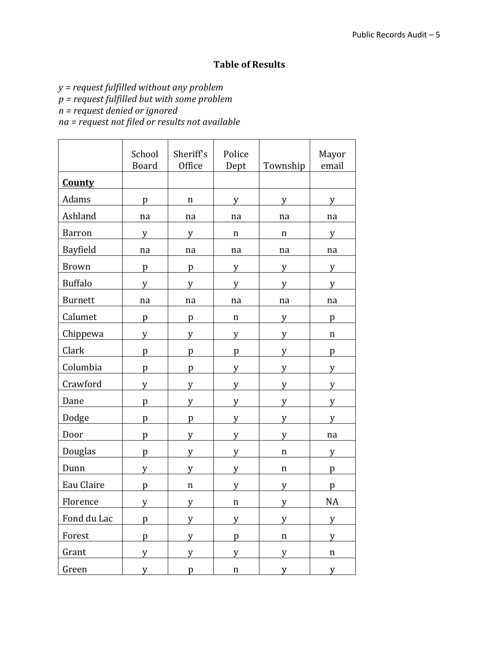## **Table of Results**

*y = request fulfilled without any problem*

*p = request fulfilled but with some problem*

*n = request denied or ignored*

*na = request not filed or results not available*

|                | School<br><b>Board</b> | Sheriff's<br>Office | Police<br>Dept | Township    | Mayor<br>email |
|----------------|------------------------|---------------------|----------------|-------------|----------------|
| <b>County</b>  |                        |                     |                |             |                |
| Adams          | p                      | $\mathbf n$         | y              | y           | y              |
| Ashland        | na                     | na                  | na             | na          | na             |
| <b>Barron</b>  | y                      | y                   | n              | n           | у              |
| Bayfield       | na                     | na                  | na             | na          | na             |
| <b>Brown</b>   | p                      | p                   | y              | y           | y              |
| <b>Buffalo</b> | y                      | y                   | y              | V           | V              |
| <b>Burnett</b> | na                     | na                  | na             | na          | na             |
| Calumet        | p                      | p                   | n              | y           | p              |
| Chippewa       | y                      | y                   | y              | V           | n              |
| Clark          | p                      | p                   | p              | y           | p              |
| Columbia       | p                      | p                   | V              | v           | v              |
| Crawford       | y                      | y                   | y              | y           | y              |
| Dane           | p                      | y                   | y              | y           | y              |
| Dodge          | p                      | p                   | y              | y           | v              |
| Door           | p                      | y                   | y              | y           | na             |
| Douglas        | p                      | y                   | y              | $\mathbf n$ | y              |
| Dunn           | y                      | y                   | y              | n           | p              |
| Eau Claire     | p                      | $\mathbf n$         | V              | y           | p              |
| Florence       | y                      | y                   | $\mathbf n$    | у           | <b>NA</b>      |
| Fond du Lac    | p                      | y                   | y              | y           | y              |
| Forest         | p                      | y                   | p              | $\mathbf n$ | y              |
| Grant          | y                      | y                   | y              | y           | $\mathbf n$    |
| Green          | y                      | p                   | $\mathbf n$    | y           | y              |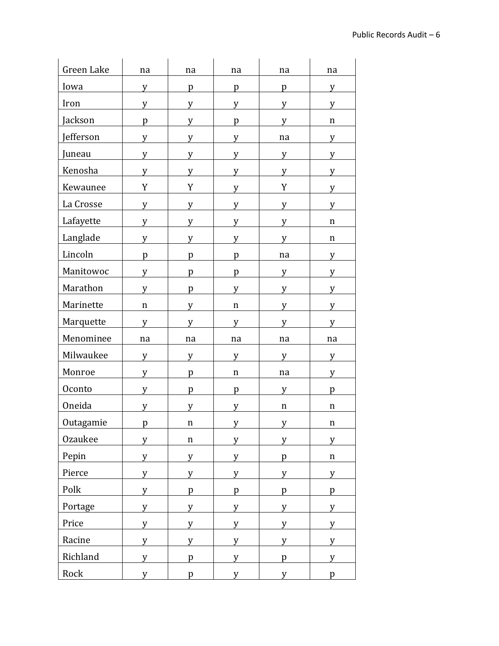| Green Lake | na           | na          | na          | na          | na          |
|------------|--------------|-------------|-------------|-------------|-------------|
| Iowa       | y            | p           | p           | p           | y           |
| Iron       | y            | y           | v           | v           | v           |
| Jackson    | p            | y           | p           | v           | $\mathbf n$ |
| Jefferson  | y            | y           | V           | na          | y           |
| Juneau     | y            | y           | y           | y           | y           |
| Kenosha    | y            | y           | y           | y           | V           |
| Kewaunee   | Y            | Y           | y           | Y           | y           |
| La Crosse  | y            | y           | y           | y           | V           |
| Lafayette  | y            | y           | y           | y           | n           |
| Langlade   | v            | V           | v           | v           | $\mathbf n$ |
| Lincoln    | p            | p           | p           | na          | y           |
| Manitowoc  | y            | p           | p           | y           | y           |
| Marathon   | V            | p           | v           | V           | v           |
| Marinette  | $\mathbf n$  | y           | $\mathbf n$ | y           | y           |
| Marquette  | y            | y           | y           | y           | y           |
| Menominee  | na           | na          | na          | na          | na          |
| Milwaukee  | v            | y           | v           | v           | V           |
| Monroe     | V            | p           | $\mathbf n$ | na          | y           |
| Oconto     | y            | p           | p           | y           | p           |
| Oneida     | y            | y           | y           | $\mathbf n$ | n           |
| Outagamie  | $\mathbf{n}$ | n           | V           | V           | n           |
| Ozaukee    | y            | $\mathbf n$ | y           | y           | y           |
| Pepin      | y            | y           | y           | p           | $\mathbf n$ |
| Pierce     | y            | y           | y           | y           | y           |
| Polk       | y            | p           | p           | p           | p           |
| Portage    | y            | y           | y           | y           | y           |
| Price      | y            | y           | y           | y           | y           |
| Racine     | y            | y           | y           | y           | y           |
| Richland   | y            | p           | y           | p           | y           |
| Rock       | y            | p           | y           | V           | p           |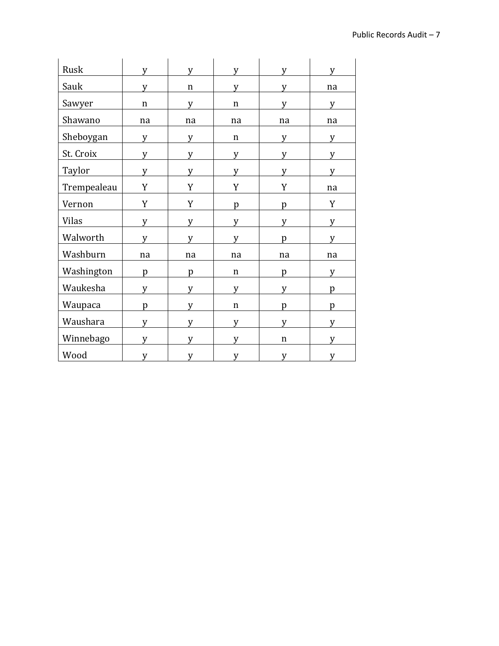| Rusk         | V  | y  | V           | V  |    |
|--------------|----|----|-------------|----|----|
| Sauk         | v  | n  | V           | v  | na |
| Sawyer       | n  | y  | n           | v  | v  |
| Shawano      | na | na | na          | na | na |
| Sheboygan    | y  | y  | $\mathbf n$ | y  | v  |
| St. Croix    | y  | y  | y           | y  | V  |
| Taylor       | y  | y  | y           | y  | v  |
| Trempealeau  | Y  | Y  | Y           | Y  | na |
| Vernon       | Y  | Y  | p           | p  | Y  |
| <b>Vilas</b> | y  | y  | v           | v  | v  |
| Walworth     | V  | V  | v           | D  | v  |
| Washburn     | na | na | na          | na | na |
| Washington   | p  | p  | $\mathbf n$ | p  | v  |
| Waukesha     | V  | V  | v           | v  | D  |
| Waupaca      | p  | y  | n           | D  | p  |
| Waushara     | y  | y  | y           | V  |    |
| Winnebago    | v  | V  | v           | n  | v  |
| Wood         | V  | V  | v           | v  | v  |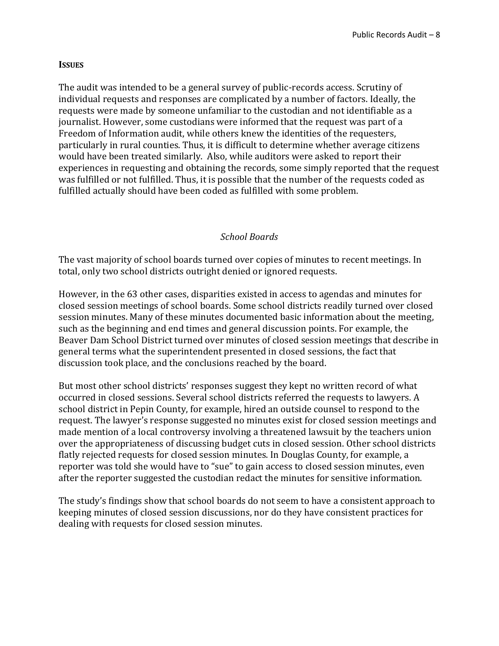#### **ISSUES**

The audit was intended to be a general survey of public-records access. Scrutiny of individual requests and responses are complicated by a number of factors. Ideally, the requests were made by someone unfamiliar to the custodian and not identifiable as a journalist. However, some custodians were informed that the request was part of a Freedom of Information audit, while others knew the identities of the requesters, particularly in rural counties. Thus, it is difficult to determine whether average citizens would have been treated similarly. Also, while auditors were asked to report their experiences in requesting and obtaining the records, some simply reported that the request was fulfilled or not fulfilled. Thus, it is possible that the number of the requests coded as fulfilled actually should have been coded as fulfilled with some problem.

#### *School Boards*

The vast majority of school boards turned over copies of minutes to recent meetings. In total, only two school districts outright denied or ignored requests.

However, in the 63 other cases, disparities existed in access to agendas and minutes for closed session meetings of school boards. Some school districts readily turned over closed session minutes. Many of these minutes documented basic information about the meeting, such as the beginning and end times and general discussion points. For example, the Beaver Dam School District turned over minutes of closed session meetings that describe in general terms what the superintendent presented in closed sessions, the fact that discussion took place, and the conclusions reached by the board.

But most other school districts' responses suggest they kept no written record of what occurred in closed sessions. Several school districts referred the requests to lawyers. A school district in Pepin County, for example, hired an outside counsel to respond to the request. The lawyer's response suggested no minutes exist for closed session meetings and made mention of a local controversy involving a threatened lawsuit by the teachers union over the appropriateness of discussing budget cuts in closed session. Other school districts flatly rejected requests for closed session minutes. In Douglas County, for example, a reporter was told she would have to "sue" to gain access to closed session minutes, even after the reporter suggested the custodian redact the minutes for sensitive information.

The study's findings show that school boards do not seem to have a consistent approach to keeping minutes of closed session discussions, nor do they have consistent practices for dealing with requests for closed session minutes.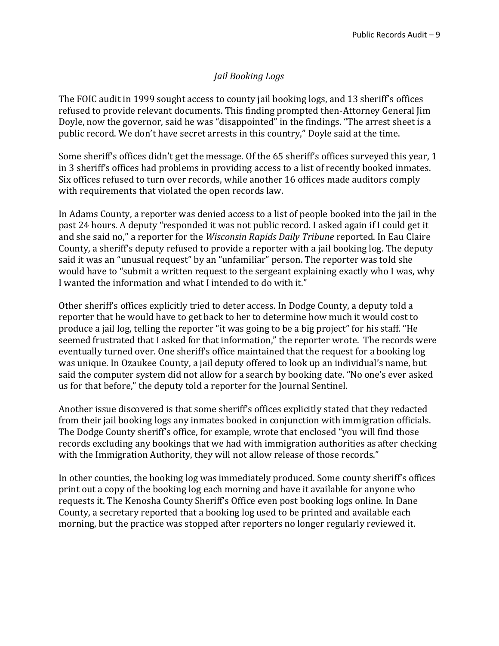## *Jail Booking Logs*

The FOIC audit in 1999 sought access to county jail booking logs, and 13 sheriff's offices refused to provide relevant documents. This finding prompted then-Attorney General Jim Doyle, now the governor, said he was "disappointed" in the findings. "The arrest sheet is a public record. We don't have secret arrests in this country," Doyle said at the time.

Some sheriff's offices didn't get the message. Of the 65 sheriff's offices surveyed this year, 1 in 3 sheriff's offices had problems in providing access to a list of recently booked inmates. Six offices refused to turn over records, while another 16 offices made auditors comply with requirements that violated the open records law.

In Adams County, a reporter was denied access to a list of people booked into the jail in the past 24 hours. A deputy "responded it was not public record. I asked again if I could get it and she said no," a reporter for the *Wisconsin Rapids Daily Tribune* reported. In Eau Claire County, a sheriff's deputy refused to provide a reporter with a jail booking log. The deputy said it was an "unusual request" by an "unfamiliar" person. The reporter was told she would have to "submit a written request to the sergeant explaining exactly who I was, why I wanted the information and what I intended to do with it."

Other sheriff's offices explicitly tried to deter access. In Dodge County, a deputy told a reporter that he would have to get back to her to determine how much it would cost to produce a jail log, telling the reporter "it was going to be a big project" for his staff. "He seemed frustrated that I asked for that information," the reporter wrote. The records were eventually turned over. One sheriff's office maintained that the request for a booking log was unique. In Ozaukee County, a jail deputy offered to look up an individual's name, but said the computer system did not allow for a search by booking date. "No one's ever asked us for that before," the deputy told a reporter for the Journal Sentinel.

Another issue discovered is that some sheriff's offices explicitly stated that they redacted from their jail booking logs any inmates booked in conjunction with immigration officials. The Dodge County sheriff's office, for example, wrote that enclosed "you will find those records excluding any bookings that we had with immigration authorities as after checking with the Immigration Authority, they will not allow release of those records."

In other counties, the booking log was immediately produced. Some county sheriff's offices print out a copy of the booking log each morning and have it available for anyone who requests it. The Kenosha County Sheriff's Office even post booking logs online. In Dane County, a secretary reported that a booking log used to be printed and available each morning, but the practice was stopped after reporters no longer regularly reviewed it.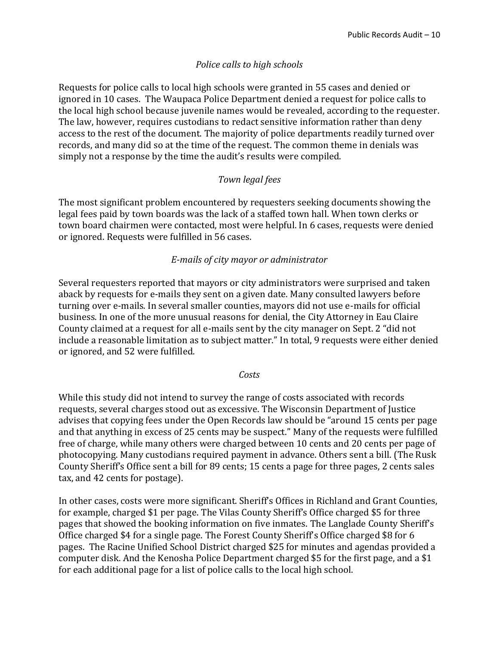## *Police calls to high schools*

Requests for police calls to local high schools were granted in 55 cases and denied or ignored in 10 cases. The Waupaca Police Department denied a request for police calls to the local high school because juvenile names would be revealed, according to the requester. The law, however, requires custodians to redact sensitive information rather than deny access to the rest of the document. The majority of police departments readily turned over records, and many did so at the time of the request. The common theme in denials was simply not a response by the time the audit's results were compiled.

## *Town legal fees*

The most significant problem encountered by requesters seeking documents showing the legal fees paid by town boards was the lack of a staffed town hall. When town clerks or town board chairmen were contacted, most were helpful. In 6 cases, requests were denied or ignored. Requests were fulfilled in 56 cases.

## *E-mails of city mayor or administrator*

Several requesters reported that mayors or city administrators were surprised and taken aback by requests for e-mails they sent on a given date. Many consulted lawyers before turning over e-mails. In several smaller counties, mayors did not use e-mails for official business. In one of the more unusual reasons for denial, the City Attorney in Eau Claire County claimed at a request for all e-mails sent by the city manager on Sept. 2 "did not include a reasonable limitation as to subject matter." In total, 9 requests were either denied or ignored, and 52 were fulfilled.

#### *Costs*

While this study did not intend to survey the range of costs associated with records requests, several charges stood out as excessive. The Wisconsin Department of Justice advises that copying fees under the Open Records law should be "around 15 cents per page and that anything in excess of 25 cents may be suspect." Many of the requests were fulfilled free of charge, while many others were charged between 10 cents and 20 cents per page of photocopying. Many custodians required payment in advance. Others sent a bill. (The Rusk County Sheriff's Office sent a bill for 89 cents; 15 cents a page for three pages, 2 cents sales tax, and 42 cents for postage).

In other cases, costs were more significant. Sheriff's Offices in Richland and Grant Counties, for example, charged \$1 per page. The Vilas County Sheriff's Office charged \$5 for three pages that showed the booking information on five inmates. The Langlade County Sheriff's Office charged \$4 for a single page. The Forest County Sheriff's Office charged \$8 for 6 pages. The Racine Unified School District charged \$25 for minutes and agendas provided a computer disk. And the Kenosha Police Department charged \$5 for the first page, and a \$1 for each additional page for a list of police calls to the local high school.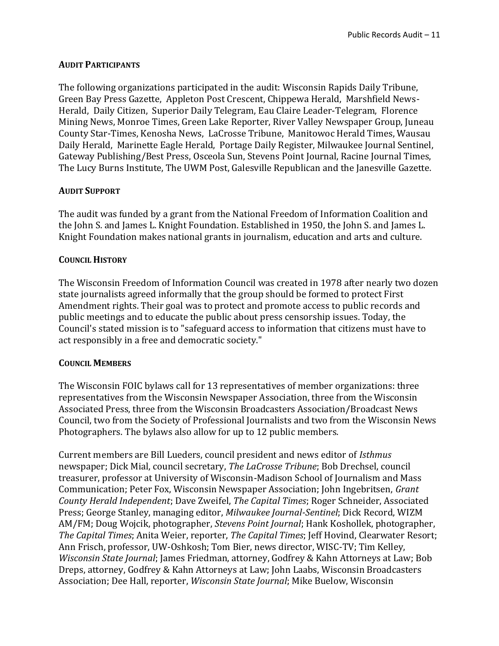#### **AUDIT PARTICIPANTS**

The following organizations participated in the audit: Wisconsin Rapids Daily Tribune, Green Bay Press Gazette, Appleton Post Crescent, Chippewa Herald, Marshfield News-Herald, Daily Citizen, Superior Daily Telegram, Eau Claire Leader-Telegram, Florence Mining News, Monroe Times, Green Lake Reporter, River Valley Newspaper Group, Juneau County Star-Times, Kenosha News, LaCrosse Tribune, Manitowoc Herald Times, Wausau Daily Herald, Marinette Eagle Herald, Portage Daily Register, Milwaukee Journal Sentinel, Gateway Publishing/Best Press, Osceola Sun, Stevens Point Journal, Racine Journal Times, The Lucy Burns Institute, The UWM Post, Galesville Republican and the Janesville Gazette.

#### **AUDIT SUPPORT**

The audit was funded by a grant from the National Freedom of Information Coalition and the John S. and James L. Knight Foundation. Established in 1950, the John S. and James L. Knight Foundation makes national grants in journalism, education and arts and culture.

#### **COUNCIL HISTORY**

The Wisconsin Freedom of Information Council was created in 1978 after nearly two dozen state journalists agreed informally that the group should be formed to protect First Amendment rights. Their goal was to protect and promote access to public records and public meetings and to educate the public about press censorship issues. Today, the Council's stated mission is to "safeguard access to information that citizens must have to act responsibly in a free and democratic society."

#### **COUNCIL MEMBERS**

The Wisconsin FOIC bylaws call for 13 representatives of member organizations: three representatives from the Wisconsin Newspaper Association, three from the Wisconsin Associated Press, three from the Wisconsin Broadcasters Association/Broadcast News Council, two from the Society of Professional Journalists and two from the Wisconsin News Photographers. The bylaws also allow for up to 12 public members.

Current members are Bill Lueders, council president and news editor of *Isthmus* newspaper; Dick Mial, council secretary, *The LaCrosse Tribune*; Bob Drechsel, council treasurer, professor at University of Wisconsin-Madison School of Journalism and Mass Communication; Peter Fox, Wisconsin Newspaper Association; John Ingebritsen, *Grant County Herald Independent*; Dave Zweifel, *The Capital Times*; Roger Schneider, Associated Press; George Stanley, managing editor, *Milwaukee Journal-Sentinel*; Dick Record, WIZM AM/FM; Doug Wojcik, photographer, *Stevens Point Journal*; Hank Koshollek, photographer, *The Capital Times*; Anita Weier, reporter, *The Capital Times*; Jeff Hovind, Clearwater Resort; Ann Frisch, professor, UW-Oshkosh; Tom Bier, news director, WISC-TV; Tim Kelley, *Wisconsin State Journal*; James Friedman, attorney, Godfrey & Kahn Attorneys at Law; Bob Dreps, attorney, Godfrey & Kahn Attorneys at Law; John Laabs, Wisconsin Broadcasters Association; Dee Hall, reporter, *Wisconsin State Journal*; Mike Buelow, Wisconsin